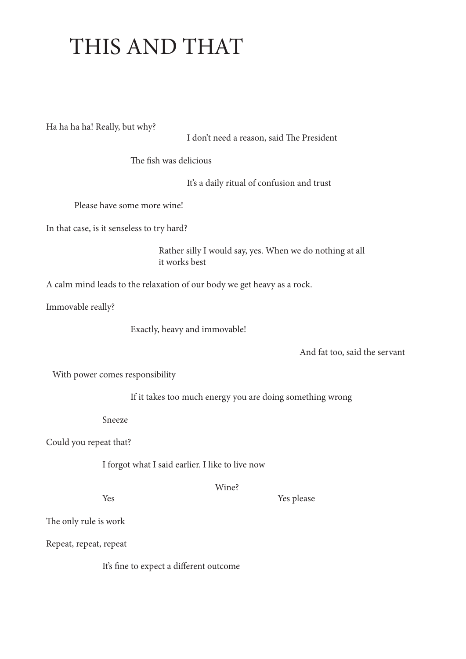## THIS AND THAT

Ha ha ha ha! Really, but why?

I don't need a reason, said The President

The fish was delicious

It's a daily ritual of confusion and trust

Please have some more wine!

In that case, is it senseless to try hard?

 Rather silly I would say, yes. When we do nothing at all it works best

A calm mind leads to the relaxation of our body we get heavy as a rock.

Immovable really?

Exactly, heavy and immovable!

And fat too, said the servant

With power comes responsibility

If it takes too much energy you are doing something wrong

Sneeze

Could you repeat that?

I forgot what I said earlier. I like to live now

Wine?

Yes Yes please

The only rule is work

Repeat, repeat, repeat

It's fine to expect a different outcome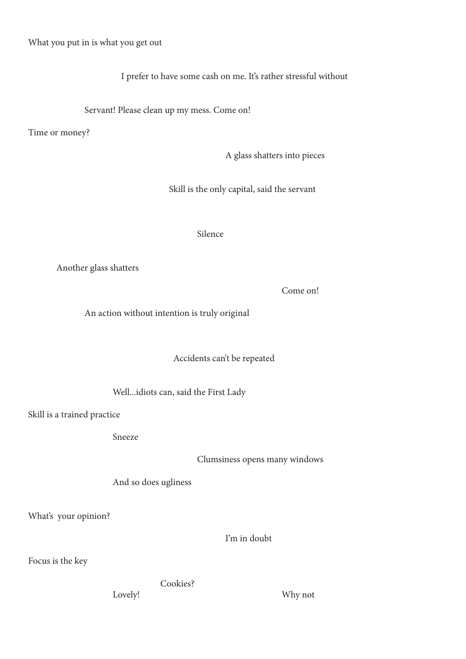What you put in is what you get out

I prefer to have some cash on me. It's rather stressful without

Servant! Please clean up my mess. Come on!

Time or money?

A glass shatters into pieces

Skill is the only capital, said the servant

Silence

Another glass shatters

Come on!

An action without intention is truly original

Accidents can't be repeated

Well...idiots can, said the First Lady

Skill is a trained practice

Sneeze

Clumsiness opens many windows

And so does ugliness

What's your opinion?

I'm in doubt

Focus is the key

Cookies?

Lovely! Why not